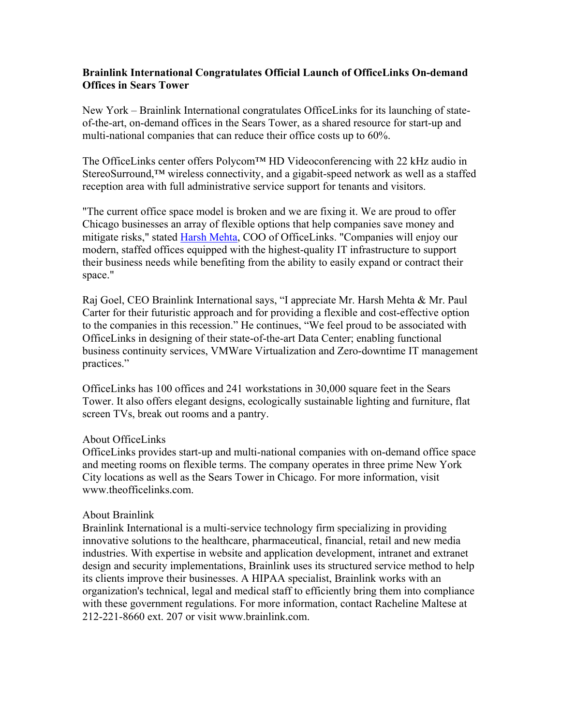## **Brainlink International Congratulates Official Launch of OfficeLinks On-demand Offices in Sears Tower**

New York – Brainlink International congratulates OfficeLinks for its launching of stateof-the-art, on-demand offices in the Sears Tower, as a shared resource for start-up and multi-national companies that can reduce their office costs up to 60%.

The OfficeLinks center offers Polycom™ HD Videoconferencing with 22 kHz audio in StereoSurround,<sup>™</sup> wireless connectivity, and a gigabit-speed network as well as a staffed reception area with full administrative service support for tenants and visitors.

"The current office space model is broken and we are fixing it. We are proud to offer Chicago businesses an array of flexible options that help companies save money and mitigate risks," stated Harsh Mehta, COO of OfficeLinks. "Companies will enjoy our modern, staffed offices equipped with the highest-quality IT infrastructure to support their business needs while benefiting from the ability to easily expand or contract their space."

Raj Goel, CEO Brainlink International says, "I appreciate Mr. Harsh Mehta & Mr. Paul Carter for their futuristic approach and for providing a flexible and cost-effective option to the companies in this recession." He continues, "We feel proud to be associated with OfficeLinks in designing of their state-of-the-art Data Center; enabling functional business continuity services, VMWare Virtualization and Zero-downtime IT management practices."

OfficeLinks has 100 offices and 241 workstations in 30,000 square feet in the Sears Tower. It also offers elegant designs, ecologically sustainable lighting and furniture, flat screen TVs, break out rooms and a pantry.

## About OfficeLinks

OfficeLinks provides start-up and multi-national companies with on-demand office space and meeting rooms on flexible terms. The company operates in three prime New York City locations as well as the Sears Tower in Chicago. For more information, visit www.theofficelinks.com

## About Brainlink

Brainlink International is a multi-service technology firm specializing in providing innovative solutions to the healthcare, pharmaceutical, financial, retail and new media industries. With expertise in website and application development, intranet and extranet design and security implementations, Brainlink uses its structured service method to help its clients improve their businesses. A HIPAA specialist, Brainlink works with an organization's technical, legal and medical staff to efficiently bring them into compliance with these government regulations. For more information, contact Racheline Maltese at 212-221-8660 ext. 207 or visit www.brainlink.com.